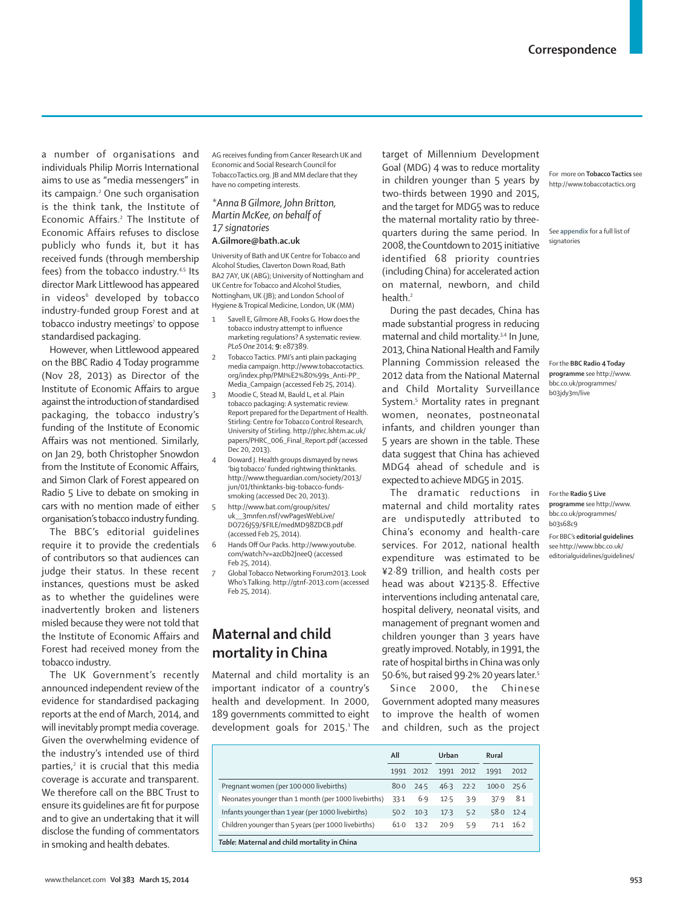a number of organisations and individuals Philip Morris International aims to use as "media messengers" in its campaign.2 One such organisation is the think tank, the Institute of Economic Affairs.2 The Institute of Economic Affairs refuses to disclose publicly who funds it, but it has received funds (through membership fees) from the tobacco industry.<sup>4,5</sup> Its director Mark Littlewood has appeared in videos<sup>6</sup> developed by tobacco industry-funded group Forest and at tobacco industry meetings<sup>7</sup> to oppose standardised packaging.

However, when Littlewood appeared on the BBC Radio 4 Today programme (Nov 28, 2013) as Director of the Institute of Economic Affairs to arque against the introduction of standardised packaging, the tobacco industry's funding of the Institute of Economic Affairs was not mentioned. Similarly, on Jan 29, both Christopher Snowdon from the Institute of Economic Affairs, and Simon Clark of Forest appeared on Radio 5 Live to debate on smoking in cars with no mention made of either organisation's tobacco industry funding.

The BBC's editorial guidelines require it to provide the credentials of contributors so that audiences can judge their status. In these recent instances, questions must be asked as to whether the guidelines were inadvertently broken and listeners misled because they were not told that the Institute of Economic Affairs and Forest had received money from the tobacco industry.

The UK Government's recently announced independent review of the evidence for standardised packaging reports at the end of March, 2014, and will inevitably prompt media coverage. Given the overwhelming evidence of the industry's intended use of third parties,<sup>2</sup> it is crucial that this media coverage is accurate and transparent. We therefore call on the BBC Trust to ensure its quidelines are fit for purpose and to give an undertaking that it will disclose the funding of commentators in smoking and health debates.

AG receives funding from Cancer Research UK and Economic and Social Research Council for TobaccoTactics.org. JB and MM declare that they have no competing interests.

# *\*Anna B Gilmore, John Britton, Martin McKee, on behalf of 17 signatories*

## **A.Gilmore@bath.ac.uk**

University of Bath and UK Centre for Tobacco and Alcohol Studies, Claverton Down Road, Bath BA2 7AY, UK (ABG); University of Nottingham and UK Centre for Tobacco and Alcohol Studies, Nottingham, UK (JB); and London School of Hygiene & Tropical Medicine, London, UK (MM)

- Savell E, Gilmore AB, Fooks G. How does the tobacco industry attempt to influence marketing regulations? A systematic review. *PLoS One* 2014; **9:** e87389.
- 2 Tobacco Tactics. PMI's anti plain packaging media campaign. http://www.tobaccotactics. org/index.php/PMI%E2%80%99s\_Anti-PP\_ Media\_Campaign (accessed Feb 25, 2014). 3 Moodie C, Stead M, Bauld L, et al. Plain
	- tobacco packaging: A systematic review. Report prepared for the Department of Health. Stirling: Centre for Tobacco Control Research, University of Stirling. http://phrc.lshtm.ac.uk/ papers/PHRC\_006\_Final\_Report.pdf (accessed Dec 20, 2013).
- 4 Doward J. Health groups dismayed by news 'big tobacco' funded rightwing thinktanks. http://www.theguardian.com/society/2013/ jun/01/thinktanks-big-tobacco-fundssmoking (accessed Dec 20, 2013).
	- 5 http://www.bat.com/group/sites/ uk\_\_3mnfen.nsf/vwPagesWebLive/ DO726J59/\$FILE/medMD98ZDCB.pdf (accessed Feb 25, 2014).
- 6 Hands Off Our Packs. http://www.youtube. com/watch?v=azcDb2JneeQ (accessed Feb 25, 2014).
- 7 Global Tobacco Networking Forum2013. Look Who's Talking. http://gtnf-2013.com (accessed Feb 25, 2014).

# **Maternal and child mortality in China**

Maternal and child mortality is an important indicator of a country's health and development. In 2000, 189 governments committed to eight development goals for 2015.<sup>1</sup> The

target of Millennium Development Goal (MDG) 4 was to reduce mortality in children younger than 5 years by two-thirds between 1990 and 2015, and the target for MDG5 was to reduce the maternal mortality ratio by threequarters during the same period. In 2008, the Countdown to 2015 initiative identified 68 priority countries (including China) for accelerated action on maternal, newborn, and child health.<sup>2</sup>

During the past decades, China has made substantial progress in reducing maternal and child mortality.3,4 In June, 2013, China National Health and Family Planning Commission released the 2012 data from the National Maternal and Child Mortality Surveillance System.<sup>5</sup> Mortality rates in pregnant women, neonates, postneonatal infants, and children younger than 5 years are shown in the table. These data suggest that China has achieved MDG4 ahead of schedule and is expected to achieve MDG5 in 2015.

The dramatic reductions in maternal and child mortality rates are undisputedly attributed to China's economy and health-care services. For 2012, national health expenditure was estimated to be ¥2·89 trillion, and health costs per head was about ¥2135·8. Effective interventions including antenatal care, hospital delivery, neonatal visits, and management of pregnant women and children younger than 3 years have greatly improved. Notably, in 1991, the rate of hospital births in China was only 50·6%, but raised 99·2% 20 years later.5

Since 2000, the Chinese Government adopted many measures to improve the health of women and children, such as the project

For more on **Tobacco Tactics** see http://www.tobaccotactics.org

See **appendix** for a full list of signatories

For the **BBC Radio 4 Today programme** see http://www. bbc.co.uk/programmes/ b03jdy3m/live

For BBC's **editorial guidelines** see http://www.bbc.co.uk/ editorialguidelines/guidelines/ For the **Radio 5 Live programme** see http://www. bbc.co.uk/programmes/ b03s68c9

| www.thelancet.com Vol 383 March 15, 2014 | 953 |
|------------------------------------------|-----|
|------------------------------------------|-----|

**All Urban Rural** 1991 2012 1991 2012 1991 2012 Pregnant women (per 100 000 livebirths) 80·0 24·5 46·3 22·2 100·0 25·6 Neonates younger than 1 month (per 1000 livebirths) 33·1 6·9 12·5 3·9 37·9 8·1 Infants younger than 1 year (per 1000 livebirths) 50·2 10·3 17·3 5·2 58·0 12·4 Children younger than 5 years (per 1000 livebirths) 61·0 13·2 20·9 5·9 71·1 16·2  *Table***: Maternal and child mortality in China**